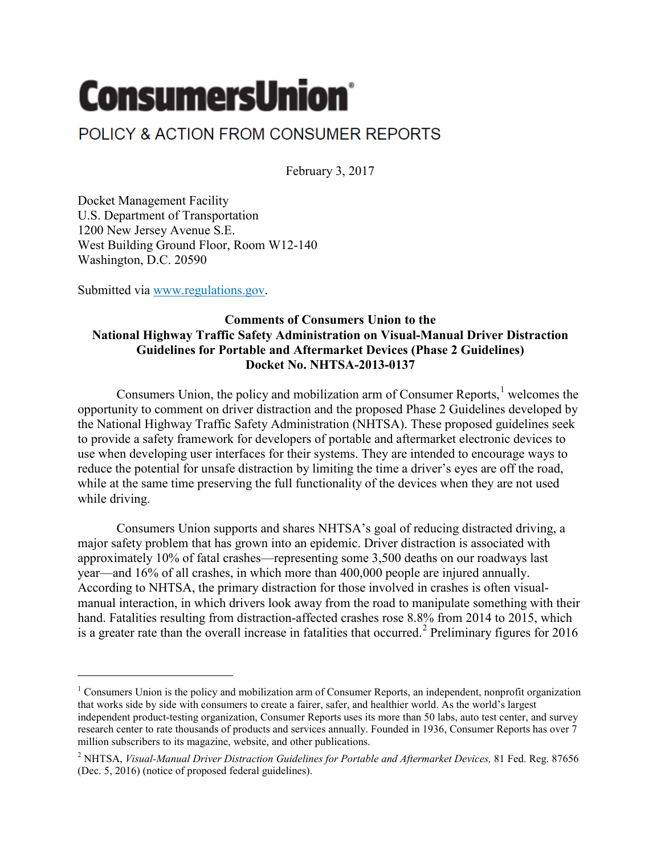## **ConsumersUnion®**

## POLICY & ACTION FROM CONSUMER REPORTS

February 3, 2017

Docket Management Facility U.S. Department of Transportation 1200 New Jersey Avenue S.E. West Building Ground Floor, Room W12-140 Washington, D.C. 20590

Submitted via [www.regulations.gov.](http://www.regulations.gov/)

 $\overline{\phantom{a}}$ 

## **Comments of Consumers Union to the National Highway Traffic Safety Administration on Visual-Manual Driver Distraction Guidelines for Portable and Aftermarket Devices (Phase 2 Guidelines) Docket No. NHTSA-2013-0137**

Consumers Union, the policy and mobilization arm of Consumer Reports, $<sup>1</sup>$  $<sup>1</sup>$  $<sup>1</sup>$  welcomes the</sup> opportunity to comment on driver distraction and the proposed Phase 2 Guidelines developed by the National Highway Traffic Safety Administration (NHTSA). These proposed guidelines seek to provide a safety framework for developers of portable and aftermarket electronic devices to use when developing user interfaces for their systems. They are intended to encourage ways to reduce the potential for unsafe distraction by limiting the time a driver's eyes are off the road, while at the same time preserving the full functionality of the devices when they are not used while driving.

Consumers Union supports and shares NHTSA's goal of reducing distracted driving, a major safety problem that has grown into an epidemic. Driver distraction is associated with approximately 10% of fatal crashes—representing some 3,500 deaths on our roadways last year—and 16% of all crashes, in which more than 400,000 people are injured annually. According to NHTSA, the primary distraction for those involved in crashes is often visualmanual interaction, in which drivers look away from the road to manipulate something with their hand. Fatalities resulting from distraction-affected crashes rose 8.8% from 2014 to 2015, which is a greater rate than the overall increase in fatalities that occurred. [2](#page-0-1) Preliminary figures for 2016

<span id="page-0-0"></span> $1$  Consumers Union is the policy and mobilization arm of Consumer Reports, an independent, nonprofit organization that works side by side with consumers to create a fairer, safer, and healthier world. As the world's largest independent product-testing organization, Consumer Reports uses its more than 50 labs, auto test center, and survey research center to rate thousands of products and services annually. Founded in 1936, Consumer Reports has over 7 million subscribers to its magazine, website, and other publications.

<span id="page-0-1"></span><sup>2</sup> NHTSA, *Visual-Manual Driver Distraction Guidelines for Portable and Aftermarket Devices,* 81 Fed. Reg. 87656 (Dec. 5, 2016) (notice of proposed federal guidelines).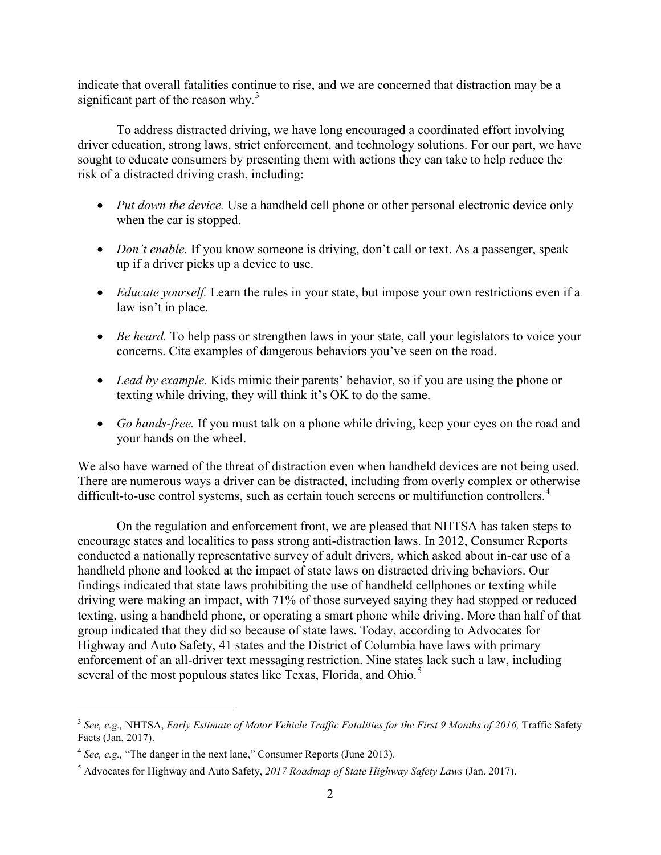indicate that overall fatalities continue to rise, and we are concerned that distraction may be a significant part of the reason why.<sup>[3](#page-1-0)</sup>

To address distracted driving, we have long encouraged a coordinated effort involving driver education, strong laws, strict enforcement, and technology solutions. For our part, we have sought to educate consumers by presenting them with actions they can take to help reduce the risk of a distracted driving crash, including:

- *Put down the device.* Use a handheld cell phone or other personal electronic device only when the car is stopped.
- *Don't enable.* If you know someone is driving, don't call or text. As a passenger, speak up if a driver picks up a device to use.
- *Educate yourself.* Learn the rules in your state, but impose your own restrictions even if a law isn't in place.
- *Be heard.* To help pass or strengthen laws in your state, call your legislators to voice your concerns. Cite examples of dangerous behaviors you've seen on the road.
- *Lead by example.* Kids mimic their parents' behavior, so if you are using the phone or texting while driving, they will think it's OK to do the same.
- *Go hands-free.* If you must talk on a phone while driving, keep your eyes on the road and your hands on the wheel.

We also have warned of the threat of distraction even when handheld devices are not being used. There are numerous ways a driver can be distracted, including from overly complex or otherwise difficult-to-use control systems, such as certain touch screens or multifunction controllers.<sup>[4](#page-1-1)</sup>

On the regulation and enforcement front, we are pleased that NHTSA has taken steps to encourage states and localities to pass strong anti-distraction laws. In 2012, Consumer Reports conducted a nationally representative survey of adult drivers, which asked about in-car use of a handheld phone and looked at the impact of state laws on distracted driving behaviors. Our findings indicated that state laws prohibiting the use of handheld cellphones or texting while driving were making an impact, with 71% of those surveyed saying they had stopped or reduced texting, using a handheld phone, or operating a smart phone while driving. More than half of that group indicated that they did so because of state laws. Today, according to Advocates for Highway and Auto Safety, 41 states and the District of Columbia have laws with primary enforcement of an all-driver text messaging restriction. Nine states lack such a law, including several of the most populous states like Texas, Florida, and Ohio.<sup>[5](#page-1-2)</sup>

l

<span id="page-1-0"></span><sup>&</sup>lt;sup>3</sup> See, e.g., NHTSA, *Early Estimate of Motor Vehicle Traffic Fatalities for the First 9 Months of 2016, Traffic Safety* Facts (Jan. 2017).

<span id="page-1-1"></span><sup>&</sup>lt;sup>4</sup> *See, e.g.,* "The danger in the next lane," Consumer Reports (June 2013).

<span id="page-1-2"></span><sup>5</sup> Advocates for Highway and Auto Safety, *2017 Roadmap of State Highway Safety Laws* (Jan. 2017).